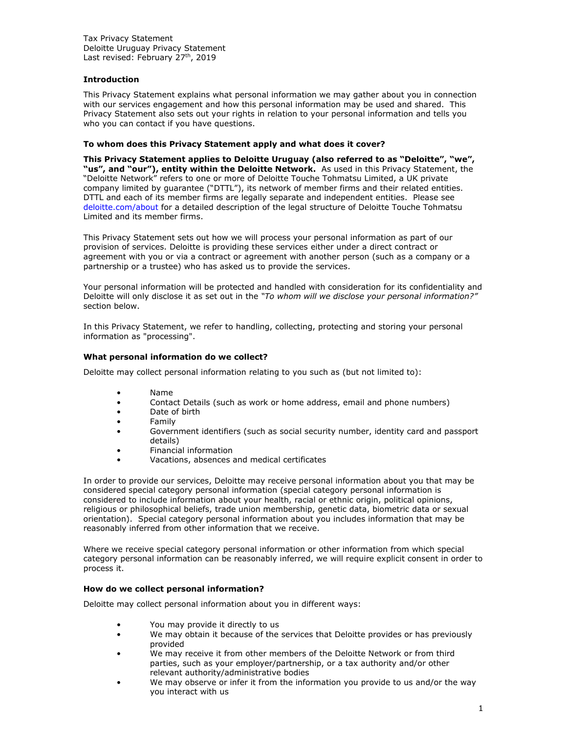# **Introduction**

This Privacy Statement explains what personal information we may gather about you in connection with our services engagement and how this personal information may be used and shared. This Privacy Statement also sets out your rights in relation to your personal information and tells you who you can contact if you have questions.

## **To whom does this Privacy Statement apply and what does it cover?**

**This Privacy Statement applies to Deloitte Uruguay (also referred to as "Deloitte", "we", "us", and "our"), entity within the Deloitte Network.** As used in this Privacy Statement, the "Deloitte Network" refers to one or more of Deloitte Touche Tohmatsu Limited, a UK private company limited by guarantee ("DTTL"), its network of member firms and their related entities. DTTL and each of its member firms are legally separate and independent entities. Please see [deloitte.com/about](http://www.deloitte.com/about) for a detailed description of the legal structure of Deloitte Touche Tohmatsu Limited and its member firms.

This Privacy Statement sets out how we will process your personal information as part of our provision of services. Deloitte is providing these services either under a direct contract or agreement with you or via a contract or agreement with another person (such as a company or a partnership or a trustee) who has asked us to provide the services.

Your personal information will be protected and handled with consideration for its confidentiality and Deloitte will only disclose it as set out in the *"[To whom will we disclose your personal information?](https://www2.deloitte.com/global/en/legal/avature-privacy.html#disclose)"* section below.

In this Privacy Statement, we refer to handling, collecting, protecting and storing your personal information as "processing".

## **What personal information do we collect?**

Deloitte may collect personal information relating to you such as (but not limited to):

- Name
- Contact Details (such as work or home address, email and phone numbers)
- Date of birth
- Family
- Government identifiers (such as social security number, identity card and passport details)
- Financial information
- Vacations, absences and medical certificates

In order to provide our services, Deloitte may receive personal information about you that may be considered special category personal information (special category personal information is considered to include information about your health, racial or ethnic origin, political opinions, religious or philosophical beliefs, trade union membership, genetic data, biometric data or sexual orientation). Special category personal information about you includes information that may be reasonably inferred from other information that we receive.

Where we receive special category personal information or other information from which special category personal information can be reasonably inferred, we will require explicit consent in order to process it.

#### **How do we collect personal information?**

Deloitte may collect personal information about you in different ways:

- You may provide it directly to us
- We may obtain it because of the services that Deloitte provides or has previously provided
- We may receive it from other members of the Deloitte Network or from third parties, such as your employer/partnership, or a tax authority and/or other relevant authority/administrative bodies
- We may observe or infer it from the information you provide to us and/or the way you interact with us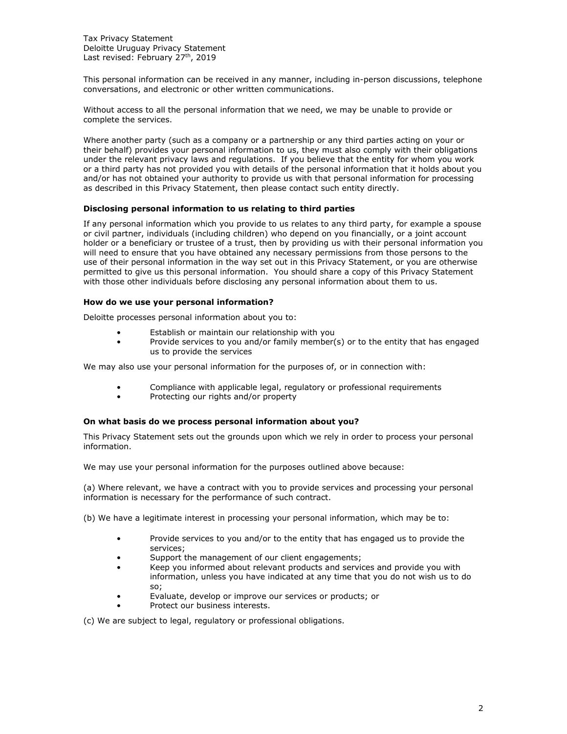This personal information can be received in any manner, including in-person discussions, telephone conversations, and electronic or other written communications.

Without access to all the personal information that we need, we may be unable to provide or complete the services.

Where another party (such as a company or a partnership or any third parties acting on your or their behalf) provides your personal information to us, they must also comply with their obligations under the relevant privacy laws and regulations. If you believe that the entity for whom you work or a third party has not provided you with details of the personal information that it holds about you and/or has not obtained your authority to provide us with that personal information for processing as described in this Privacy Statement, then please contact such entity directly.

## **Disclosing personal information to us relating to third parties**

If any personal information which you provide to us relates to any third party, for example a spouse or civil partner, individuals (including children) who depend on you financially, or a joint account holder or a beneficiary or trustee of a trust, then by providing us with their personal information you will need to ensure that you have obtained any necessary permissions from those persons to the use of their personal information in the way set out in this Privacy Statement, or you are otherwise permitted to give us this personal information. You should share a copy of this Privacy Statement with those other individuals before disclosing any personal information about them to us.

#### **How do we use your personal information?**

Deloitte processes personal information about you to:

- Establish or maintain our relationship with you
- Provide services to you and/or family member(s) or to the entity that has engaged us to provide the services

We may also use your personal information for the purposes of, or in connection with:

- Compliance with applicable legal, regulatory or professional requirements
- Protecting our rights and/or property

#### **On what basis do we process personal information about you?**

This Privacy Statement sets out the grounds upon which we rely in order to process your personal information.

We may use your personal information for the purposes outlined above because:

(a) Where relevant, we have a contract with you to provide services and processing your personal information is necessary for the performance of such contract.

(b) We have a legitimate interest in processing your personal information, which may be to:

- Provide services to you and/or to the entity that has engaged us to provide the services;
- Support the management of our client engagements;
- Keep you informed about relevant products and services and provide you with information, unless you have indicated at any time that you do not wish us to do so;
- Evaluate, develop or improve our services or products; or
- Protect our business interests.

(c) We are subject to legal, regulatory or professional obligations.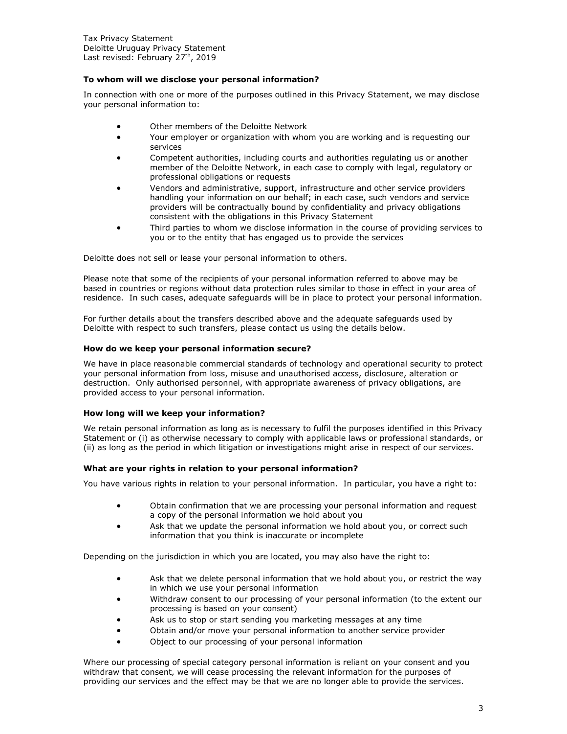#### **To whom will we disclose your personal information?**

In connection with one or more of the purposes outlined in this Privacy Statement, we may disclose your personal information to:

- Other members of the Deloitte Network
- Your employer or organization with whom you are working and is requesting our services
- Competent authorities, including courts and authorities regulating us or another member of the Deloitte Network, in each case to comply with legal, regulatory or professional obligations or requests
- Vendors and administrative, support, infrastructure and other service providers handling your information on our behalf; in each case, such vendors and service providers will be contractually bound by confidentiality and privacy obligations consistent with the obligations in this Privacy Statement
- Third parties to whom we disclose information in the course of providing services to you or to the entity that has engaged us to provide the services

Deloitte does not sell or lease your personal information to others.

Please note that some of the recipients of your personal information referred to above may be based in countries or regions without data protection rules similar to those in effect in your area of residence. In such cases, adequate safeguards will be in place to protect your personal information.

For further details about the transfers described above and the adequate safeguards used by Deloitte with respect to such transfers, please contact us using the details below.

#### **How do we keep your personal information secure?**

We have in place reasonable commercial standards of technology and operational security to protect your personal information from loss, misuse and unauthorised access, disclosure, alteration or destruction. Only authorised personnel, with appropriate awareness of privacy obligations, are provided access to your personal information.

#### **How long will we keep your information?**

We retain personal information as long as is necessary to fulfil the purposes identified in this Privacy Statement or (i) as otherwise necessary to comply with applicable laws or professional standards, or (ii) as long as the period in which litigation or investigations might arise in respect of our services.

## **What are your rights in relation to your personal information?**

You have various rights in relation to your personal information. In particular, you have a right to:

- Obtain confirmation that we are processing your personal information and request a copy of the personal information we hold about you
- Ask that we update the personal information we hold about you, or correct such information that you think is inaccurate or incomplete

Depending on the jurisdiction in which you are located, you may also have the right to:

- Ask that we delete personal information that we hold about you, or restrict the way in which we use your personal information
- Withdraw consent to our processing of your personal information (to the extent our processing is based on your consent)
- Ask us to stop or start sending you marketing messages at any time
- Obtain and/or move your personal information to another service provider
- Object to our processing of your personal information

Where our processing of special category personal information is reliant on your consent and you withdraw that consent, we will cease processing the relevant information for the purposes of providing our services and the effect may be that we are no longer able to provide the services.